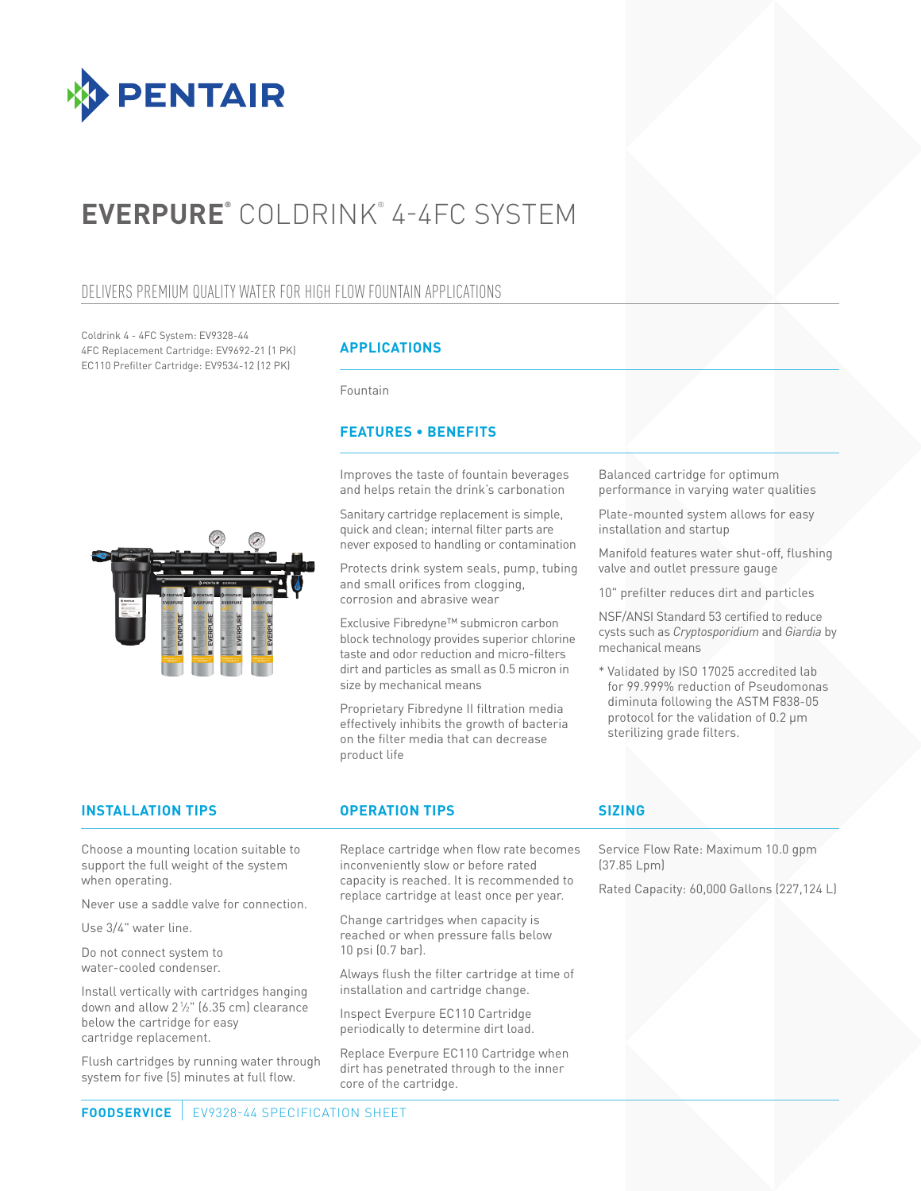

# **EVERPURE®** COLDRINK® 4-4FC SYSTEM

### DELIVERS PREMIUM QUALITY WATER FOR HIGH FLOW FOUNTAIN APPLICATIONS

Coldrink 4 - 4FC System: EV9328-44 4FC Replacement Cartridge: EV9692-21 (1 PK) EC110 Prefilter Cartridge: EV9534-12 (12 PK)

### **APPLICATIONS**

Fountain

#### **FEATURES • BENEFITS**

Improves the taste of fountain beverages and helps retain the drink's carbonation

Sanitary cartridge replacement is simple, quick and clean; internal filter parts are never exposed to handling or contamination

Protects drink system seals, pump, tubing and small orifices from clogging. corrosion and abrasive wear

Exclusive Fibredyne™ submicron carbon block technology provides superior chlorine taste and odor reduction and micro-filters dirt and particles as small as 0.5 micron in size by mechanical means

Proprietary Fibredyne II filtration media effectively inhibits the growth of bacteria on the filter media that can decrease product life

Balanced cartridge for optimum performance in varying water qualities

Plate-mounted system allows for easy installation and startup

Manifold features water shut-off, flushing valve and outlet pressure gauge

10" prefilter reduces dirt and particles

NSF/ANSI Standard 53 certified to reduce cysts such as *Cryptosporidium* and *Giardia* by mechanical means

\* Validated by ISO 17025 accredited lab for 99.999% reduction of Pseudomonas diminuta following the ASTM F838-05 protocol for the validation of 0.2 μm sterilizing grade filters.

#### **INSTALLATION TIPS OPERATION TIPS**

Choose a mounting location suitable to support the full weight of the system when operating.

Never use a saddle valve for connection.

Use 3/4" water line.

Do not connect system to water-cooled condenser.

Install vertically with cartridges hanging down and allow 21 ⁄2" (6.35 cm) clearance below the cartridge for easy cartridge replacement.

Flush cartridges by running water through system for five (5) minutes at full flow.

Replace cartridge when flow rate becomes inconveniently slow or before rated capacity is reached. It is recommended to replace cartridge at least once per year.

Change cartridges when capacity is reached or when pressure falls below 10 psi (0.7 bar).

Always flush the filter cartridge at time of installation and cartridge change.

Inspect Everpure EC110 Cartridge periodically to determine dirt load.

Replace Everpure EC110 Cartridge when dirt has penetrated through to the inner core of the cartridge.

#### **SIZING**

Service Flow Rate: Maximum 10.0 gpm (37.85 Lpm)

Rated Capacity: 60,000 Gallons (227,124 L)